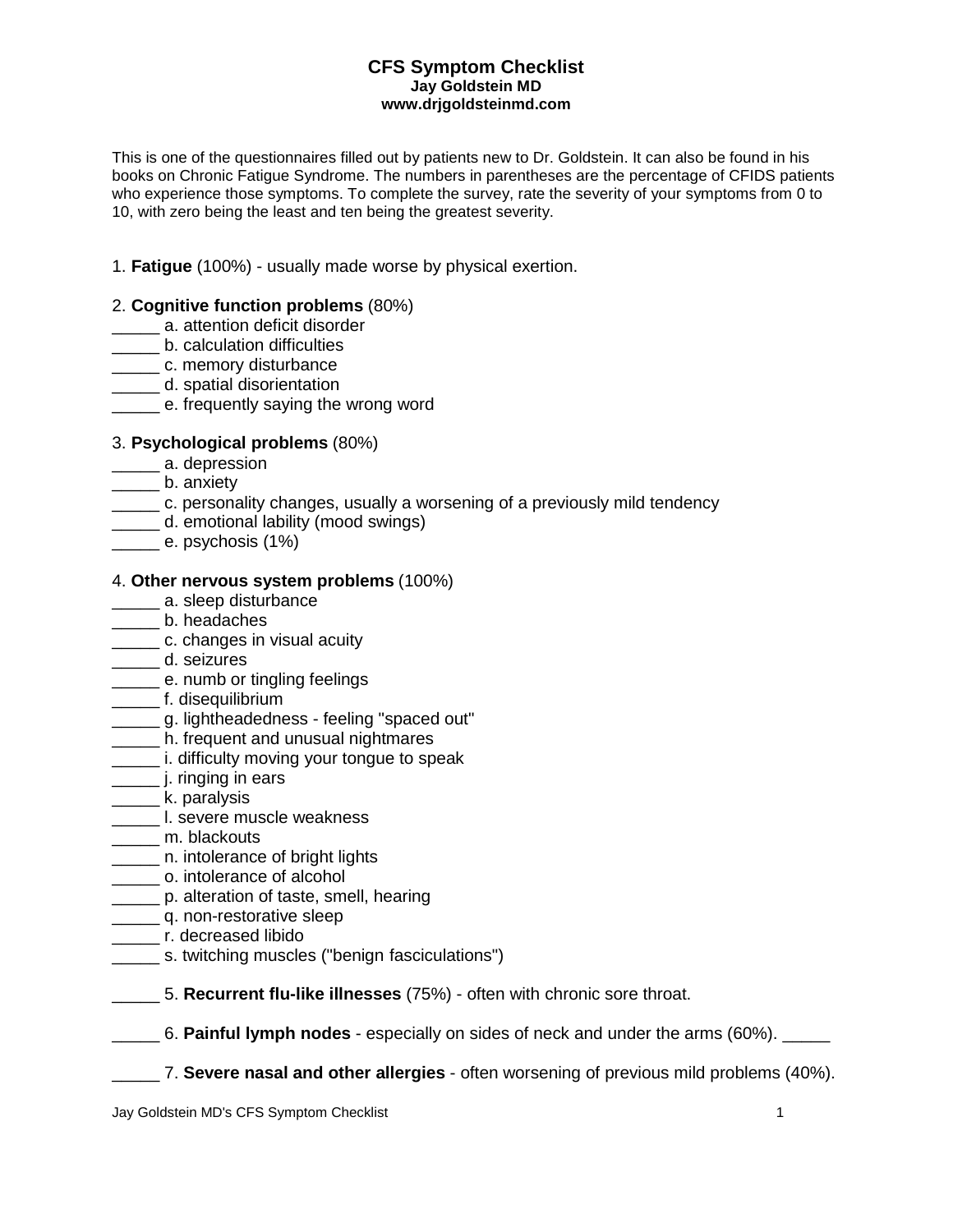#### **CFS Symptom Checklist Jay Goldstein MD www.drjgoldsteinmd.com**

This is one of the questionnaires filled out by patients new to Dr. Goldstein. It can also be found in his books on Chronic Fatigue Syndrome. The numbers in parentheses are the percentage of CFIDS patients who experience those symptoms. To complete the survey, rate the severity of your symptoms from 0 to 10, with zero being the least and ten being the greatest severity.

1. **Fatigue** (100%) - usually made worse by physical exertion.

## 2. **Cognitive function problems** (80%)

- \_\_\_\_\_ a. attention deficit disorder
- \_\_\_\_\_ b. calculation difficulties
- \_\_\_\_\_ c. memory disturbance
- \_\_\_\_\_ d. spatial disorientation
- **Example.** Frequently saying the wrong word

### 3. **Psychological problems** (80%)

- \_\_\_\_\_ a. depression
- b. anxiety
- \_\_\_\_\_ c. personality changes, usually a worsening of a previously mild tendency
- \_\_\_\_\_ d. emotional lability (mood swings)
- \_\_\_\_\_ e. psychosis (1%)

### 4. **Other nervous system problems** (100%)

- \_\_\_\_\_ a. sleep disturbance
- \_\_\_\_\_ b. headaches
- \_\_\_\_\_\_ c. changes in visual acuity
- \_\_\_\_\_ d. seizures
- **EXECUTE:** e. numb or tingling feelings
- \_\_\_\_\_ f. disequilibrium
- \_\_\_\_\_ g. lightheadedness feeling "spaced out"
- **\_\_\_\_\_\_** h. frequent and unusual nightmares
- **\_\_\_\_\_\_** i. difficulty moving your tongue to speak
- **\_\_\_\_\_** j. ringing in ears
- \_\_\_\_\_ k. paralysis
- **\_\_\_\_\_\_\_\_\_ I.** severe muscle weakness
- \_\_\_\_\_ m. blackouts
- \_\_\_\_\_ n. intolerance of bright lights
- \_\_\_\_\_ o. intolerance of alcohol
- \_\_\_\_\_ p. alteration of taste, smell, hearing
- \_\_\_\_\_\_ q. non-restorative sleep
- \_\_\_\_\_\_ r. decreased libido
- \_\_\_\_\_ s. twitching muscles ("benign fasciculations")

\_\_\_\_\_ 5. **Recurrent flu-like illnesses** (75%) - often with chronic sore throat.

\_\_\_\_\_ 6. **Painful lymph nodes** - especially on sides of neck and under the arms (60%). \_\_\_\_\_

\_\_\_\_\_ 7. **Severe nasal and other allergies** - often worsening of previous mild problems (40%).